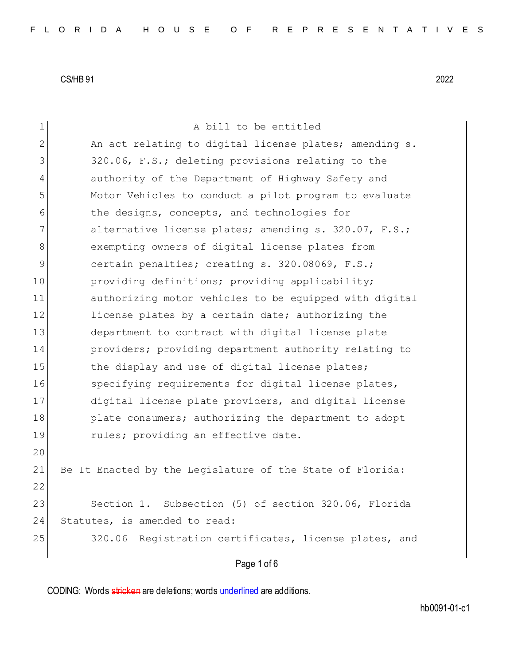| $\mathbf 1$ | A bill to be entitled                                     |
|-------------|-----------------------------------------------------------|
| 2           | An act relating to digital license plates; amending s.    |
| 3           | 320.06, F.S.; deleting provisions relating to the         |
| 4           | authority of the Department of Highway Safety and         |
| 5           | Motor Vehicles to conduct a pilot program to evaluate     |
| 6           | the designs, concepts, and technologies for               |
| 7           | alternative license plates; amending s. 320.07, F.S.;     |
| 8           | exempting owners of digital license plates from           |
| 9           | certain penalties; creating s. 320.08069, F.S.;           |
| 10          | providing definitions; providing applicability;           |
| 11          | authorizing motor vehicles to be equipped with digital    |
| 12          | license plates by a certain date; authorizing the         |
| 13          | department to contract with digital license plate         |
| 14          | providers; providing department authority relating to     |
| 15          | the display and use of digital license plates;            |
| 16          | specifying requirements for digital license plates,       |
| 17          | digital license plate providers, and digital license      |
| 18          | plate consumers; authorizing the department to adopt      |
| 19          | rules; providing an effective date.                       |
| 20          |                                                           |
| 21          | Be It Enacted by the Legislature of the State of Florida: |
| 22          |                                                           |
| 23          | Section 1. Subsection (5) of section 320.06, Florida      |
| 24          | Statutes, is amended to read:                             |
| 25          | 320.06 Registration certificates, license plates, and     |
|             |                                                           |

# Page 1 of 6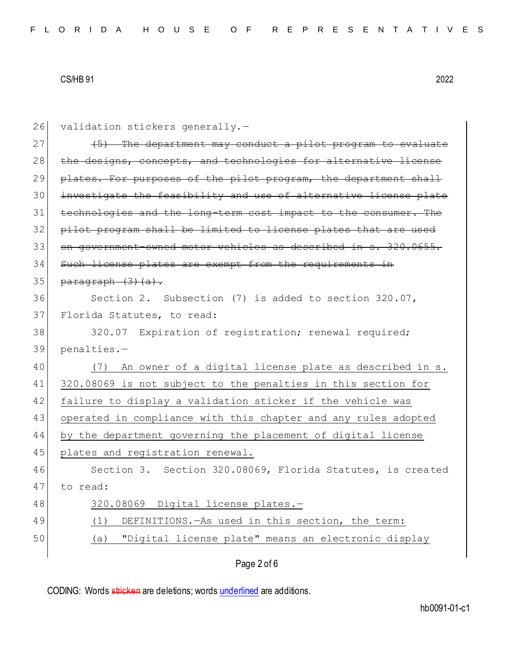| 26 | validation stickers generally.-                                  |
|----|------------------------------------------------------------------|
| 27 | (5) The department may conduct a pilot program to evaluate       |
| 28 | the designs, concepts, and technologies for alternative license  |
| 29 | plates. For purposes of the pilot program, the department shall  |
| 30 | investigate the feasibility and use of alternative license plate |
| 31 | technologies and the long-term cost impact to the consumer. The  |
| 32 | pilot program shall be limited to license plates that are used   |
| 33 | on government-owned motor vehicles as described in s. 320.0655.  |
| 34 | Such license plates are exempt from the requirements in          |
| 35 | paragraph (3) (a).                                               |
| 36 | Section 2. Subsection (7) is added to section 320.07,            |
| 37 | Florida Statutes, to read:                                       |
| 38 | 320.07 Expiration of registration; renewal required;             |
| 39 | penalties.-                                                      |
| 40 | (7) An owner of a digital license plate as described in s.       |
| 41 | 320.08069 is not subject to the penalties in this section for    |
| 42 | failure to display a validation sticker if the vehicle was       |
| 43 | operated in compliance with this chapter and any rules adopted   |
| 44 | by the department governing the placement of digital license     |
| 45 | plates and registration renewal.                                 |
| 46 | Section 3. Section 320.08069, Florida Statutes, is created       |
| 47 | to read:                                                         |
| 48 | 320.08069 Digital license plates.-                               |
| 49 | DEFINITIONS. - As used in this section, the term:<br>(1)         |
| 50 | "Digital license plate" means an electronic display<br>(a)       |
|    | Page 2 of 6                                                      |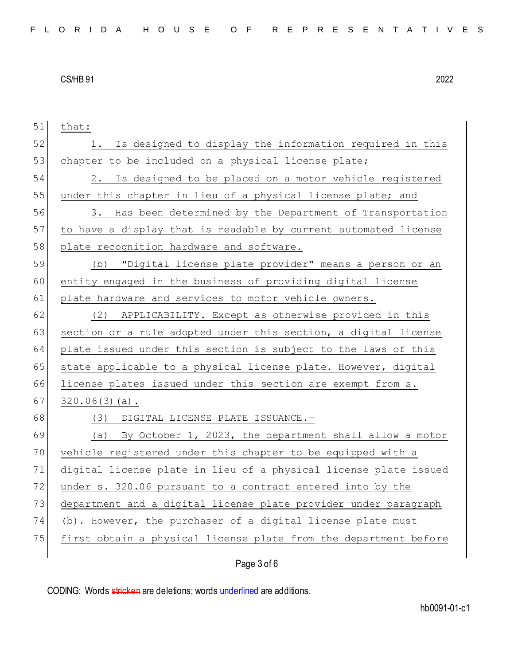| 51 | that:                                                            |
|----|------------------------------------------------------------------|
| 52 | 1. Is designed to display the information required in this       |
| 53 | chapter to be included on a physical license plate;              |
| 54 | Is designed to be placed on a motor vehicle registered<br>2.     |
| 55 | under this chapter in lieu of a physical license plate; and      |
| 56 | 3. Has been determined by the Department of Transportation       |
| 57 | to have a display that is readable by current automated license  |
| 58 | plate recognition hardware and software.                         |
| 59 | (b) "Digital license plate provider" means a person or an        |
| 60 | entity engaged in the business of providing digital license      |
| 61 | plate hardware and services to motor vehicle owners.             |
| 62 | APPLICABILITY.-Except as otherwise provided in this<br>(2)       |
| 63 | section or a rule adopted under this section, a digital license  |
| 64 | plate issued under this section is subject to the laws of this   |
| 65 | state applicable to a physical license plate. However, digital   |
| 66 | license plates issued under this section are exempt from s.      |
| 67 | $320.06(3)(a)$ .                                                 |
| 68 | (3) DIGITAL LICENSE PLATE ISSUANCE.-                             |
| 69 | (a) By October 1, 2023, the department shall allow a motor       |
| 70 | vehicle registered under this chapter to be equipped with a      |
| 71 | digital license plate in lieu of a physical license plate issued |
| 72 | under s. 320.06 pursuant to a contract entered into by the       |
| 73 | department and a digital license plate provider under paragraph  |
| 74 | (b). However, the purchaser of a digital license plate must      |
| 75 | first obtain a physical license plate from the department before |
|    |                                                                  |

Page 3 of 6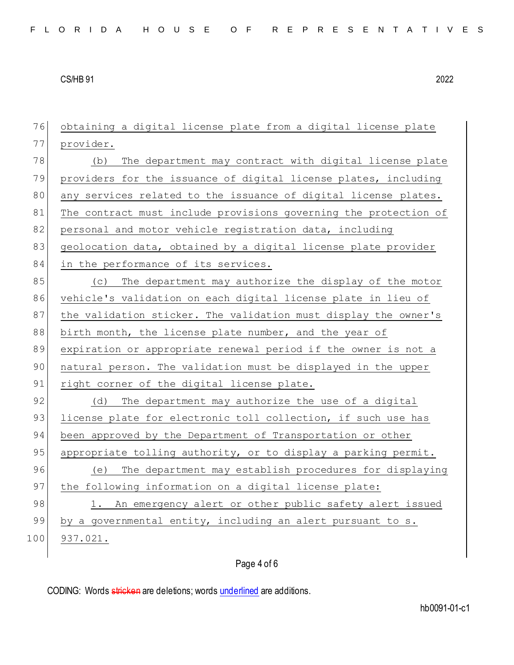| 76  | obtaining a digital license plate from a digital license plate   |
|-----|------------------------------------------------------------------|
| 77  | provider.                                                        |
| 78  | The department may contract with digital license plate<br>(b)    |
| 79  | providers for the issuance of digital license plates, including  |
| 80  | any services related to the issuance of digital license plates.  |
| 81  | The contract must include provisions governing the protection of |
| 82  | personal and motor vehicle registration data, including          |
| 83  | geolocation data, obtained by a digital license plate provider   |
| 84  | in the performance of its services.                              |
| 85  | (c) The department may authorize the display of the motor        |
| 86  | vehicle's validation on each digital license plate in lieu of    |
| 87  | the validation sticker. The validation must display the owner's  |
| 88  | birth month, the license plate number, and the year of           |
| 89  | expiration or appropriate renewal period if the owner is not a   |
| 90  | natural person. The validation must be displayed in the upper    |
| 91  | right corner of the digital license plate.                       |
| 92  | (d) The department may authorize the use of a digital            |
| 93  | license plate for electronic toll collection, if such use has    |
| 94  | been approved by the Department of Transportation or other       |
| 95  | appropriate tolling authority, or to display a parking permit.   |
| 96  | (e) The department may establish procedures for displaying       |
| 97  | the following information on a digital license plate:            |
| 98  | 1. An emergency alert or other public safety alert issued        |
| 99  | by a governmental entity, including an alert pursuant to s.      |
| 100 | 937.021.                                                         |
|     |                                                                  |

# Page 4 of 6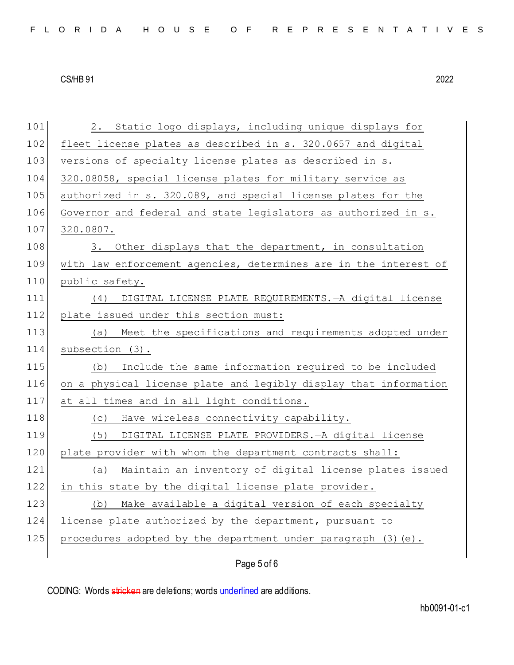101 2. Static logo displays, including unique displays for 102 fleet license plates as described in s. 320.0657 and digital 103 versions of specialty license plates as described in s. 104 320.08058, special license plates for military service as 105 authorized in s. 320.089, and special license plates for the 106 Governor and federal and state legislators as authorized in s. 107 320.0807. 108 3. Other displays that the department, in consultation 109 with law enforcement agencies, determines are in the interest of 110 public safety. 111 (4) DIGITAL LICENSE PLATE REQUIREMENTS.—A digital license 112 plate issued under this section must: 113 (a) Meet the specifications and requirements adopted under 114 subsection (3). 115 (b) Include the same information required to be included 116 on a physical license plate and legibly display that information 117 at all times and in all light conditions. 118 (c) Have wireless connectivity capability. 119 (5) DIGITAL LICENSE PLATE PROVIDERS.—A digital license 120 plate provider with whom the department contracts shall: 121 (a) Maintain an inventory of digital license plates issued 122 in this state by the digital license plate provider. 123 (b) Make available a digital version of each specialty 124 license plate authorized by the department, pursuant to 125 procedures adopted by the department under paragraph  $(3)(e)$ .

Page 5 of 6

CODING: Words stricken are deletions; words underlined are additions.

hb0091-01-c1